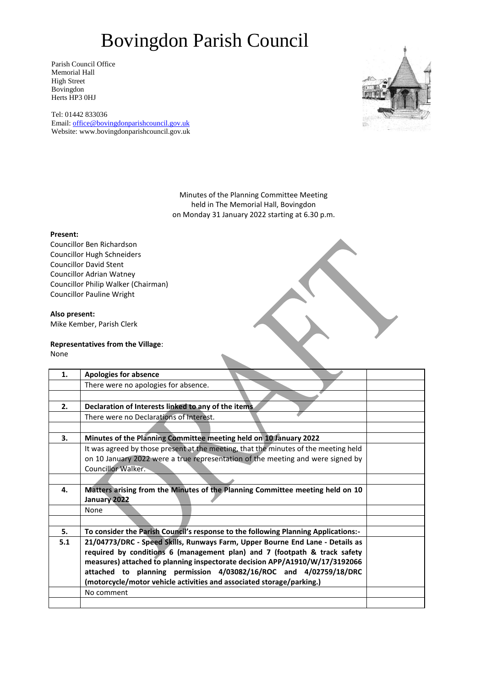Parish Council Office Memorial Hall High Street Bovingdon Herts HP3 0HJ

Tel: 01442 833036 Email: [office@bovingdonparishcouncil.gov.uk](mailto:office@bovingdonparishcouncil.gov.uk) Website: www.bovingdonparishcouncil.gov.uk



Minutes of the Planning Committee Meeting held in The Memorial Hall, Bovingdon on Monday 31 January 2022 starting at 6.30 p.m.

#### **Present:**

Councillor Ben Richardson Councillor Hugh Schneiders Councillor David Stent Councillor Adrian Watney Councillor Philip Walker (Chairman) Councillor Pauline Wright

#### **Also present:**

Mike Kember, Parish Clerk

#### **Representatives from the Village**:

None

| 1.  | <b>Apologies for absence</b>                                                                  |  |
|-----|-----------------------------------------------------------------------------------------------|--|
|     | There were no apologies for absence.                                                          |  |
|     |                                                                                               |  |
| 2.  | Declaration of Interests linked to any of the items.                                          |  |
|     | There were no Declarations of Interest.                                                       |  |
|     |                                                                                               |  |
| 3.  | Minutes of the Planning Committee meeting held on 10 January 2022                             |  |
|     | It was agreed by those present at the meeting, that the minutes of the meeting held           |  |
|     | on 10 January 2022 were a true representation of the meeting and were signed by               |  |
|     | <b>Councillor Walker.</b>                                                                     |  |
|     |                                                                                               |  |
| 4.  | Matters arising from the Minutes of the Planning Committee meeting held on 10<br>January 2022 |  |
|     | <b>None</b>                                                                                   |  |
|     |                                                                                               |  |
| 5.  | To consider the Parish Council's response to the following Planning Applications:-            |  |
| 5.1 | 21/04773/DRC - Speed Skills, Runways Farm, Upper Bourne End Lane - Details as                 |  |
|     | required by conditions 6 (management plan) and 7 (footpath & track safety                     |  |
|     | measures) attached to planning inspectorate decision APP/A1910/W/17/3192066                   |  |
|     | attached to planning permission 4/03082/16/ROC and 4/02759/18/DRC                             |  |
|     | (motorcycle/motor vehicle activities and associated storage/parking.)                         |  |
|     | No comment                                                                                    |  |
|     |                                                                                               |  |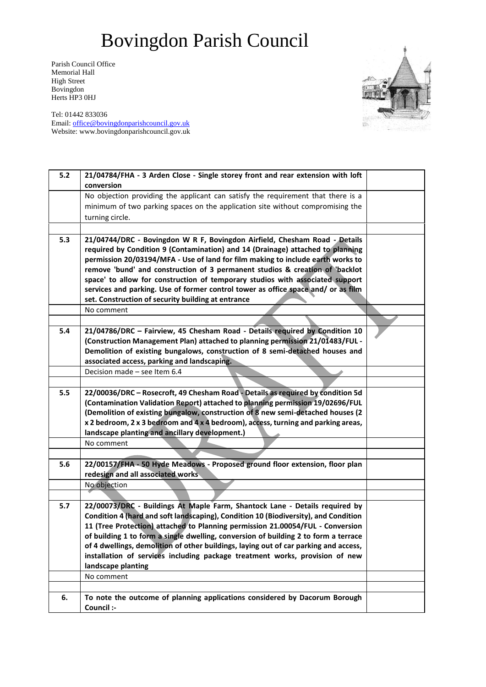Parish Council Office Memorial Hall High Street Bovingdon Herts HP3 0HJ

Tel: 01442 833036 Email: [office@bovingdonparishcouncil.gov.uk](mailto:office@bovingdonparishcouncil.gov.uk) Website: www.bovingdonparishcouncil.gov.uk



| $5.2$ | 21/04784/FHA - 3 Arden Close - Single storey front and rear extension with loft                                   |  |
|-------|-------------------------------------------------------------------------------------------------------------------|--|
|       | conversion                                                                                                        |  |
|       | No objection providing the applicant can satisfy the requirement that there is a                                  |  |
|       | minimum of two parking spaces on the application site without compromising the<br>turning circle.                 |  |
|       |                                                                                                                   |  |
| 5.3   | 21/04744/DRC - Bovingdon W R F, Bovingdon Airfield, Chesham Road - Details                                        |  |
|       | required by Condition 9 (Contamination) and 14 (Drainage) attached to planning                                    |  |
|       | permission 20/03194/MFA - Use of land for film making to include earth works to                                   |  |
|       | remove 'bund' and construction of 3 permanent studios & creation of 'backlot                                      |  |
|       | space' to allow for construction of temporary studios with associated support                                     |  |
|       | services and parking. Use of former control tower as office space and/ or as film                                 |  |
|       | set. Construction of security building at entrance                                                                |  |
|       | No comment                                                                                                        |  |
|       |                                                                                                                   |  |
| 5.4   | 21/04786/DRC - Fairview, 45 Chesham Road - Details required by Condition 10                                       |  |
|       | (Construction Management Plan) attached to planning permission 21/01483/FUL -                                     |  |
|       | Demolition of existing bungalows, construction of 8 semi-detached houses and                                      |  |
|       | associated access, parking and landscaping.                                                                       |  |
|       | Decision made - see Item 6.4                                                                                      |  |
|       |                                                                                                                   |  |
| 5.5   | 22/00036/DRC - Rosecroft, 49 Chesham Road - Details as required by condition 5d                                   |  |
|       | (Contamination Validation Report) attached to planning permission 19/02696/FUL                                    |  |
|       | (Demolition of existing bungalow, construction of 8 new semi-detached houses (2                                   |  |
|       | x 2 bedroom, 2 x 3 bedroom and 4 x 4 bedroom), access, turning and parking areas,                                 |  |
|       | landscape planting and ancillary development.)                                                                    |  |
|       | No comment                                                                                                        |  |
| 5.6   |                                                                                                                   |  |
|       | 22/00157/FHA - 50 Hyde Meadows - Proposed ground floor extension, floor plan<br>redesign and all associated works |  |
|       | No objection                                                                                                      |  |
|       |                                                                                                                   |  |
| 5.7   | 22/00073/DRC - Buildings At Maple Farm, Shantock Lane - Details required by                                       |  |
|       | Condition 4 (hard and soft landscaping), Condition 10 (Biodiversity), and Condition                               |  |
|       | 11 (Tree Protection) attached to Planning permission 21.00054/FUL - Conversion                                    |  |
|       | of building 1 to form a single dwelling, conversion of building 2 to form a terrace                               |  |
|       | of 4 dwellings, demolition of other buildings, laying out of car parking and access,                              |  |
|       | installation of services including package treatment works, provision of new                                      |  |
|       | landscape planting                                                                                                |  |
|       | No comment                                                                                                        |  |
|       |                                                                                                                   |  |
| 6.    | To note the outcome of planning applications considered by Dacorum Borough                                        |  |
|       | Council :-                                                                                                        |  |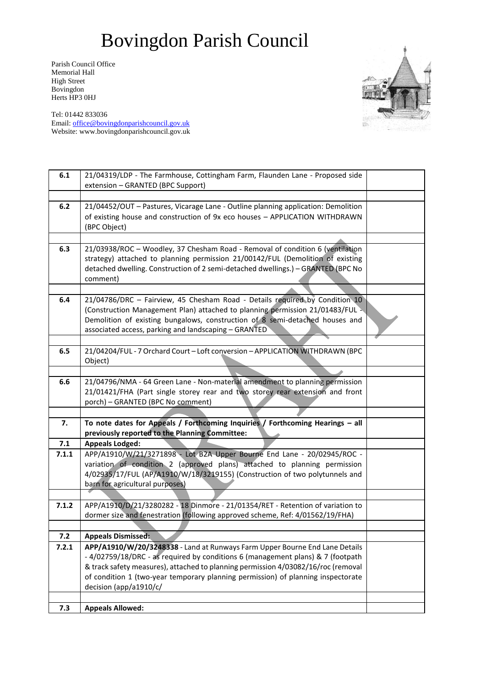Parish Council Office Memorial Hall High Street Bovingdon Herts HP3 0HJ

Tel: 01442 833036 Email: [office@bovingdonparishcouncil.gov.uk](mailto:office@bovingdonparishcouncil.gov.uk) Website: www.bovingdonparishcouncil.gov.uk

| 6.1   | 21/04319/LDP - The Farmhouse, Cottingham Farm, Flaunden Lane - Proposed side<br>extension - GRANTED (BPC Support)                                                                                                                                                                                                                                                |  |
|-------|------------------------------------------------------------------------------------------------------------------------------------------------------------------------------------------------------------------------------------------------------------------------------------------------------------------------------------------------------------------|--|
|       |                                                                                                                                                                                                                                                                                                                                                                  |  |
| 6.2   | 21/04452/OUT - Pastures, Vicarage Lane - Outline planning application: Demolition<br>of existing house and construction of 9x eco houses - APPLICATION WITHDRAWN<br>(BPC Object)                                                                                                                                                                                 |  |
|       |                                                                                                                                                                                                                                                                                                                                                                  |  |
| 6.3   | 21/03938/ROC - Woodley, 37 Chesham Road - Removal of condition 6 (ventilation<br>strategy) attached to planning permission 21/00142/FUL (Demolition of existing<br>detached dwelling. Construction of 2 semi-detached dwellings.) - GRANTED (BPC No<br>comment)                                                                                                  |  |
|       |                                                                                                                                                                                                                                                                                                                                                                  |  |
| 6.4   | 21/04786/DRC - Fairview, 45 Chesham Road - Details required by Condition 10<br>(Construction Management Plan) attached to planning permission 21/01483/FUL -<br>Demolition of existing bungalows, construction of 8 semi-detached houses and<br>associated access, parking and landscaping - GRANTED                                                             |  |
|       |                                                                                                                                                                                                                                                                                                                                                                  |  |
| 6.5   | 21/04204/FUL - 7 Orchard Court - Loft conversion - APPLICATION WITHDRAWN (BPC<br>Object)                                                                                                                                                                                                                                                                         |  |
|       |                                                                                                                                                                                                                                                                                                                                                                  |  |
| 6.6   | 21/04796/NMA - 64 Green Lane - Non-material amendment to planning permission<br>21/01421/FHA (Part single storey rear and two storey rear extension and front<br>porch) - GRANTED (BPC No comment)                                                                                                                                                               |  |
|       |                                                                                                                                                                                                                                                                                                                                                                  |  |
| 7.    | To note dates for Appeals / Forthcoming Inquiries / Forthcoming Hearings - all<br>previously reported to the Planning Committee:                                                                                                                                                                                                                                 |  |
| 7.1   | <b>Appeals Lodged:</b>                                                                                                                                                                                                                                                                                                                                           |  |
| 7.1.1 | APP/A1910/W/21/3271898 - Lot B2A Upper Bourne End Lane - 20/02945/ROC -<br>variation of condition 2 (approved plans) attached to planning permission<br>4/02935/17/FUL (AP/A1910/W/18/3219155) (Construction of two polytunnels and<br>barn for agricultural purposes)                                                                                           |  |
| 7.1.2 | APP/A1910/D/21/3280282 - 18 Dinmore - 21/01354/RET - Retention of variation to                                                                                                                                                                                                                                                                                   |  |
|       | dormer size and fenestration (following approved scheme, Ref: 4/01562/19/FHA)                                                                                                                                                                                                                                                                                    |  |
|       |                                                                                                                                                                                                                                                                                                                                                                  |  |
| 7.2   | <b>Appeals Dismissed:</b>                                                                                                                                                                                                                                                                                                                                        |  |
| 7.2.1 | APP/A1910/W/20/3248338 - Land at Runways Farm Upper Bourne End Lane Details<br>-4/02759/18/DRC - as required by conditions 6 (management plans) & 7 (footpath<br>& track safety measures), attached to planning permission 4/03082/16/roc (removal<br>of condition 1 (two-year temporary planning permission) of planning inspectorate<br>decision (app/a1910/c/ |  |
| 7.3   | <b>Appeals Allowed:</b>                                                                                                                                                                                                                                                                                                                                          |  |
|       |                                                                                                                                                                                                                                                                                                                                                                  |  |